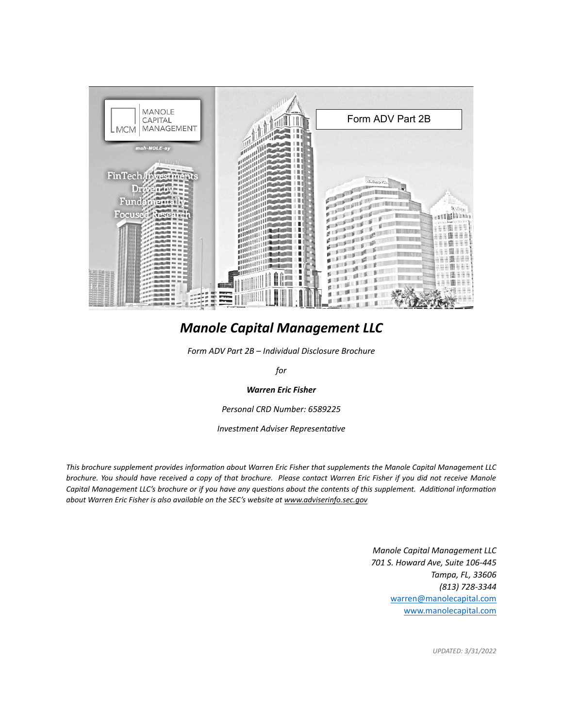

# *Manole Capital Management LLC*

*Form ADV Part 2B – Individual Disclosure Brochure*

*for*

## *Warren Eric Fisher*

*Personal CRD Number: 6589225*

*Investment Adviser Representative*

*This brochure supplement provides information about Warren Eric Fisher that supplements the Manole Capital Management LLC brochure. You should have received a copy of that brochure. Please contact Warren Eric Fisher if you did not receive Manole Capital Management LLC's brochure or if you have any questions about the contents of this supplement. Additional information about Warren Eric Fisher is also available on the SEC's website a[t www.adviserinfo.sec.gov](http://www.adviserinfo.sec.gov/)*

> *Manole Capital Management LLC 701 S. Howard Ave, Suite 106-445 Tampa, FL, 33606 (813) 728-3344* [warren@manolecapital.com](mailto:warren@manolecapital.com) www.manolecapital.com

> > *UPDATED: 3/31/2022*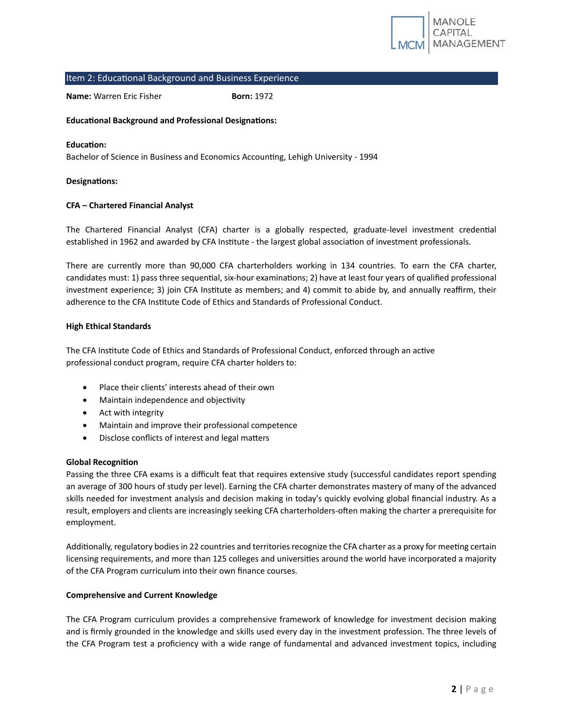

#### Item 2: Educational Background and Business Experience

**Name:** Warren Eric Fisher **Born: 1972** 

## **Educational Background and Professional Designations:**

#### **Education:**

Bachelor of Science in Business and Economics Accounting, Lehigh University - 1994

#### **Designations:**

#### **CFA – Chartered Financial Analyst**

The Chartered Financial Analyst (CFA) charter is a globally respected, graduate-level investment credential established in 1962 and awarded by CFA Institute - the largest global association of investment professionals.

There are currently more than 90,000 CFA charterholders working in 134 countries. To earn the CFA charter, candidates must: 1) pass three sequential, six-hour examinations; 2) have at least four years of qualified professional investment experience; 3) join CFA Institute as members; and 4) commit to abide by, and annually reaffirm, their adherence to the CFA Institute Code of Ethics and Standards of Professional Conduct.

#### **High Ethical Standards**

The CFA Institute Code of Ethics and Standards of Professional Conduct, enforced through an active professional conduct program, require CFA charter holders to:

- Place their clients' interests ahead of their own
- Maintain independence and objectivity
- Act with integrity
- Maintain and improve their professional competence
- Disclose conflicts of interest and legal matters

#### **Global Recognition**

Passing the three CFA exams is a difficult feat that requires extensive study (successful candidates report spending an average of 300 hours of study per level). Earning the CFA charter demonstrates mastery of many of the advanced skills needed for investment analysis and decision making in today's quickly evolving global financial industry. As a result, employers and clients are increasingly seeking CFA charterholders-often making the charter a prerequisite for employment.

Additionally, regulatory bodies in 22 countries and territories recognize the CFA charter as a proxy for meeting certain licensing requirements, and more than 125 colleges and universities around the world have incorporated a majority of the CFA Program curriculum into their own finance courses.

#### **Comprehensive and Current Knowledge**

The CFA Program curriculum provides a comprehensive framework of knowledge for investment decision making and is firmly grounded in the knowledge and skills used every day in the investment profession. The three levels of the CFA Program test a proficiency with a wide range of fundamental and advanced investment topics, including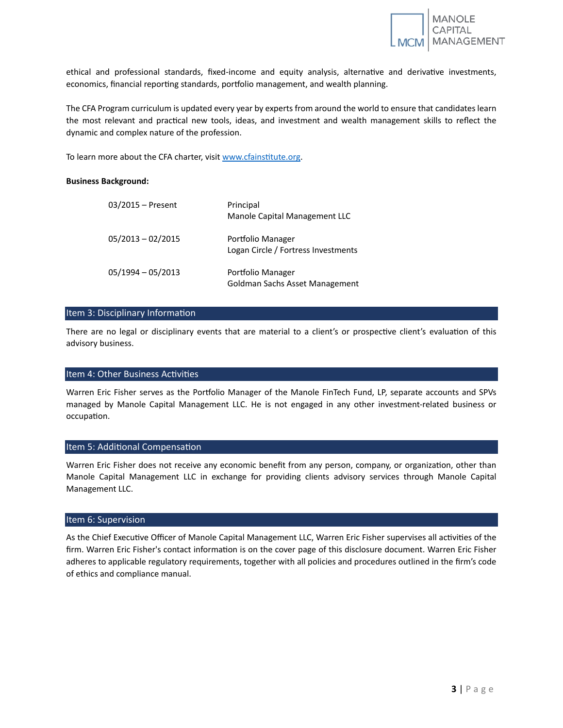

ethical and professional standards, fixed-income and equity analysis, alternative and derivative investments, economics, financial reporting standards, portfolio management, and wealth planning.

The CFA Program curriculum is updated every year by experts from around the world to ensure that candidates learn the most relevant and practical new tools, ideas, and investment and wealth management skills to reflect the dynamic and complex nature of the profession.

To learn more about the CFA charter, visit [www.cfainstitute.org.](http://www.cfainstitute.org/)

#### **Business Background:**

| $03/2015$ – Present | Principal<br>Manole Capital Management LLC               |
|---------------------|----------------------------------------------------------|
| $05/2013 - 02/2015$ | Portfolio Manager<br>Logan Circle / Fortress Investments |
| $05/1994 - 05/2013$ | Portfolio Manager<br>Goldman Sachs Asset Management      |

# Item 3: Disciplinary Information

There are no legal or disciplinary events that are material to a client's or prospective client's evaluation of this advisory business.

## Item 4: Other Business Activities

Warren Eric Fisher serves as the Portfolio Manager of the Manole FinTech Fund, LP, separate accounts and SPVs managed by Manole Capital Management LLC. He is not engaged in any other investment-related business or occupation.

#### Item 5: Additional Compensation

Warren Eric Fisher does not receive any economic benefit from any person, company, or organization, other than Manole Capital Management LLC in exchange for providing clients advisory services through Manole Capital Management LLC.

#### Item 6: Supervision

As the Chief Executive Officer of Manole Capital Management LLC, Warren Eric Fisher supervises all activities of the firm. Warren Eric Fisher's contact information is on the cover page of this disclosure document. Warren Eric Fisher adheres to applicable regulatory requirements, together with all policies and procedures outlined in the firm's code of ethics and compliance manual.